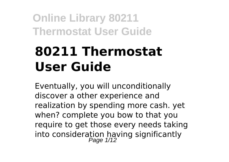# **80211 Thermostat User Guide**

Eventually, you will unconditionally discover a other experience and realization by spending more cash. yet when? complete you bow to that you require to get those every needs taking into consideration having significantly<br>Page 1/12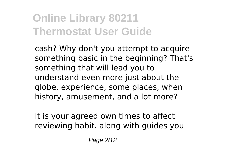cash? Why don't you attempt to acquire something basic in the beginning? That's something that will lead you to understand even more just about the globe, experience, some places, when history, amusement, and a lot more?

It is your agreed own times to affect reviewing habit. along with guides you

Page 2/12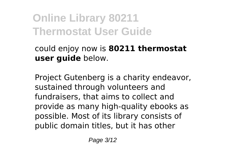could enjoy now is **80211 thermostat user guide** below.

Project Gutenberg is a charity endeavor, sustained through volunteers and fundraisers, that aims to collect and provide as many high-quality ebooks as possible. Most of its library consists of public domain titles, but it has other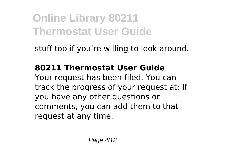stuff too if you're willing to look around.

#### **80211 Thermostat User Guide**

Your request has been filed. You can track the progress of your request at: If you have any other questions or comments, you can add them to that request at any time.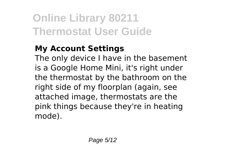#### **My Account Settings**

The only device I have in the basement is a Google Home Mini, it's right under the thermostat by the bathroom on the right side of my floorplan (again, see attached image, thermostats are the pink things because they're in heating mode).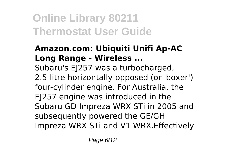#### **Amazon.com: Ubiquiti Unifi Ap-AC Long Range - Wireless ...**

Subaru's EJ257 was a turbocharged, 2.5-litre horizontally-opposed (or 'boxer') four-cylinder engine. For Australia, the EJ257 engine was introduced in the Subaru GD Impreza WRX STi in 2005 and subsequently powered the GE/GH Impreza WRX STi and V1 WRX.Effectively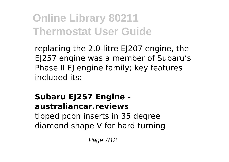replacing the 2.0-litre EJ207 engine, the EJ257 engine was a member of Subaru's Phase II EJ engine family; key features included its:

#### **Subaru EJ257 Engine australiancar.reviews**

tipped pcbn inserts in 35 degree diamond shape V for hard turning

Page 7/12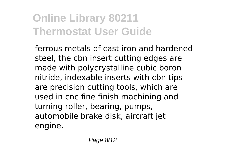ferrous metals of cast iron and hardened steel, the cbn insert cutting edges are made with polycrystalline cubic boron nitride, indexable inserts with cbn tips are precision cutting tools, which are used in cnc fine finish machining and turning roller, bearing, pumps, automobile brake disk, aircraft jet engine.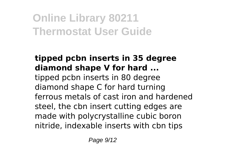#### **tipped pcbn inserts in 35 degree diamond shape V for hard ...** tipped pcbn inserts in 80 degree diamond shape C for hard turning ferrous metals of cast iron and hardened steel, the cbn insert cutting edges are made with polycrystalline cubic boron nitride, indexable inserts with cbn tips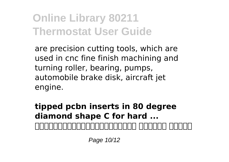are precision cutting tools, which are used in cnc fine finish machining and turning roller, bearing, pumps, automobile brake disk, aircraft jet engine.

**tipped pcbn inserts in 80 degree diamond shape C for hard ...** 入会を検討している道場へ問い合わせをします。 全国支部検索 で道場を検

Page 10/12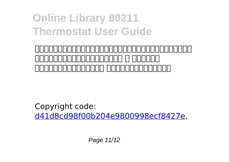#### 索した場合は、問い合わせ先の電話番号やメールアドレスが掲載されていま toooooooooooo a aanaan 」もお読みなると良いでしょう。 <問い合わせ時に伝えること>

Copyright code: [d41d8cd98f00b204e9800998ecf8427e.](/sitemap.xml)

Page 11/12